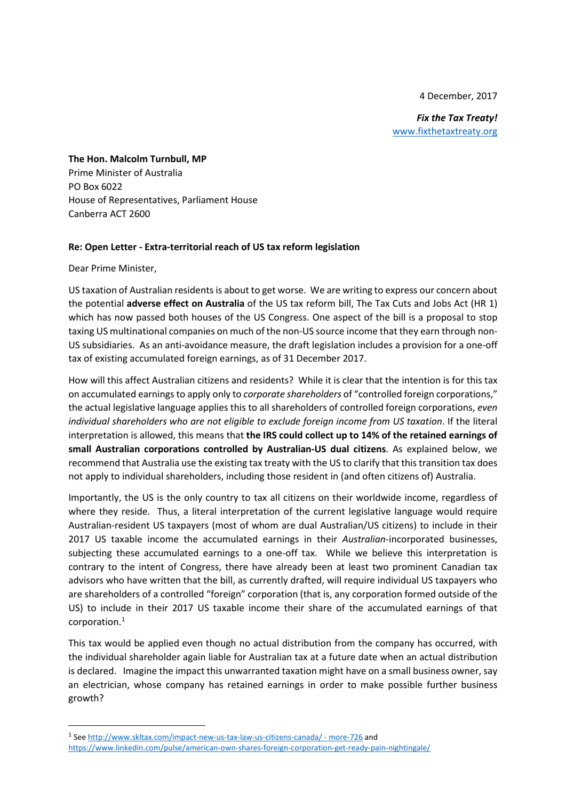4 December, 2017

*Fix the Tax Treaty!* [www.fixthetaxtreaty.org](http://www.fixthetaxtreaty.org/)

**The Hon. Malcolm Turnbull, MP** Prime Minister of Australia PO Box 6022 House of Representatives, Parliament House Canberra ACT 2600

#### **Re: Open Letter - Extra-territorial reach of US tax reform legislation**

Dear Prime Minister,

US taxation of Australian residents is about to get worse. We are writing to express our concern about the potential **adverse effect on Australia** of the US tax reform bill, The Tax Cuts and Jobs Act (HR 1) which has now passed both houses of the US Congress. One aspect of the bill is a proposal to stop taxing US multinational companies on much of the non-US source income that they earn through non-US subsidiaries. As an anti-avoidance measure, the draft legislation includes a provision for a one-off tax of existing accumulated foreign earnings, as of 31 December 2017.

How will this affect Australian citizens and residents? While it is clear that the intention is for this tax on accumulated earnings to apply only to *corporate shareholders* of "controlled foreign corporations," the actual legislative language applies this to all shareholders of controlled foreign corporations, *even individual shareholders who are not eligible to exclude foreign income from US taxation*. If the literal interpretation is allowed, this means that **the IRS could collect up to 14% of the retained earnings of small Australian corporations controlled by Australian-US dual citizens**. As explained below, we recommend that Australia use the existing tax treaty with the US to clarify that this transition tax does not apply to individual shareholders, including those resident in (and often citizens of) Australia.

Importantly, the US is the only country to tax all citizens on their worldwide income, regardless of where they reside. Thus, a literal interpretation of the current legislative language would require Australian-resident US taxpayers (most of whom are dual Australian/US citizens) to include in their 2017 US taxable income the accumulated earnings in their *Australian*-incorporated businesses, subjecting these accumulated earnings to a one-off tax. While we believe this interpretation is contrary to the intent of Congress, there have already been at least two prominent Canadian tax advisors who have written that the bill, as currently drafted, will require individual US taxpayers who are shareholders of a controlled "foreign" corporation (that is, any corporation formed outside of the US) to include in their 2017 US taxable income their share of the accumulated earnings of that corporation.[1](#page-0-0)

This tax would be applied even though no actual distribution from the company has occurred, with the individual shareholder again liable for Australian tax at a future date when an actual distribution is declared. Imagine the impact this unwarranted taxation might have on a small business owner, say an electrician, whose company has retained earnings in order to make possible further business growth?

<span id="page-0-0"></span> <sup>1</sup> Se[e http://www.skltax.com/impact-new-us-tax-law-us-citizens-canada/ -](http://www.skltax.com/impact-new-us-tax-law-us-citizens-canada/#more-726) more-726 and <https://www.linkedin.com/pulse/american-own-shares-foreign-corporation-get-ready-pain-nightingale/>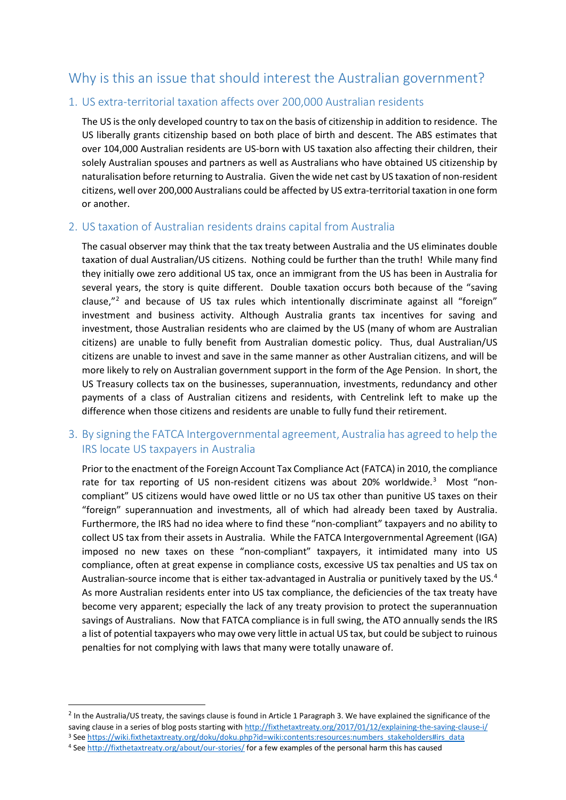# Why is this an issue that should interest the Australian government?

### 1. US extra-territorial taxation affects over 200,000 Australian residents

The US is the only developed country to tax on the basis of citizenship in addition to residence. The US liberally grants citizenship based on both place of birth and descent. The ABS estimates that over 104,000 Australian residents are US-born with US taxation also affecting their children, their solely Australian spouses and partners as well as Australians who have obtained US citizenship by naturalisation before returning to Australia. Given the wide net cast by US taxation of non-resident citizens, well over 200,000 Australians could be affected by US extra-territorial taxation in one form or another.

### 2. US taxation of Australian residents drains capital from Australia

The casual observer may think that the tax treaty between Australia and the US eliminates double taxation of dual Australian/US citizens. Nothing could be further than the truth! While many find they initially owe zero additional US tax, once an immigrant from the US has been in Australia for several years, the story is quite different. Double taxation occurs both because of the "saving clause,"<sup>[2](#page-1-0)</sup> and because of US tax rules which intentionally discriminate against all "foreign" investment and business activity. Although Australia grants tax incentives for saving and investment, those Australian residents who are claimed by the US (many of whom are Australian citizens) are unable to fully benefit from Australian domestic policy. Thus, dual Australian/US citizens are unable to invest and save in the same manner as other Australian citizens, and will be more likely to rely on Australian government support in the form of the Age Pension. In short, the US Treasury collects tax on the businesses, superannuation, investments, redundancy and other payments of a class of Australian citizens and residents, with Centrelink left to make up the difference when those citizens and residents are unable to fully fund their retirement.

## 3. By signing the FATCA Intergovernmental agreement, Australia has agreed to help the IRS locate US taxpayers in Australia

Prior to the enactment of the Foreign Account Tax Compliance Act (FATCA) in 2010, the compliance rate for tax reporting of US non-resident citizens was about 20% worldwide.<sup>[3](#page-1-1)</sup> Most "noncompliant" US citizens would have owed little or no US tax other than punitive US taxes on their "foreign" superannuation and investments, all of which had already been taxed by Australia. Furthermore, the IRS had no idea where to find these "non-compliant" taxpayers and no ability to collect US tax from their assets in Australia. While the FATCA Intergovernmental Agreement (IGA) imposed no new taxes on these "non-compliant" taxpayers, it intimidated many into US compliance, often at great expense in compliance costs, excessive US tax penalties and US tax on Australian-source income that is either tax-advantaged in Australia or punitively taxed by the US.<sup>[4](#page-1-2)</sup> As more Australian residents enter into US tax compliance, the deficiencies of the tax treaty have become very apparent; especially the lack of any treaty provision to protect the superannuation savings of Australians. Now that FATCA compliance is in full swing, the ATO annually sends the IRS a list of potential taxpayers who may owe very little in actual US tax, but could be subject to ruinous penalties for not complying with laws that many were totally unaware of.

<span id="page-1-2"></span><span id="page-1-1"></span>4 Se[e http://fixthetaxtreaty.org/about/our-stories/](http://fixthetaxtreaty.org/about/our-stories/) for a few examples of the personal harm this has caused

<span id="page-1-0"></span> $2$  In the Australia/US treaty, the savings clause is found in Article 1 Paragraph 3. We have explained the significance of the saving clause in a series of blog posts starting wit[h http://fixthetaxtreaty.org/2017/01/12/explaining-the-saving-clause-i/](http://fixthetaxtreaty.org/2017/01/12/explaining-the-saving-clause-i/) 3 Se[e https://wiki.fixthetaxtreaty.org/doku/doku.php?id=wiki:contents:resources:numbers\\_stakeholders#irs\\_data](https://wiki.fixthetaxtreaty.org/doku/doku.php?id=wiki:contents:resources:numbers_stakeholders#irs_data)